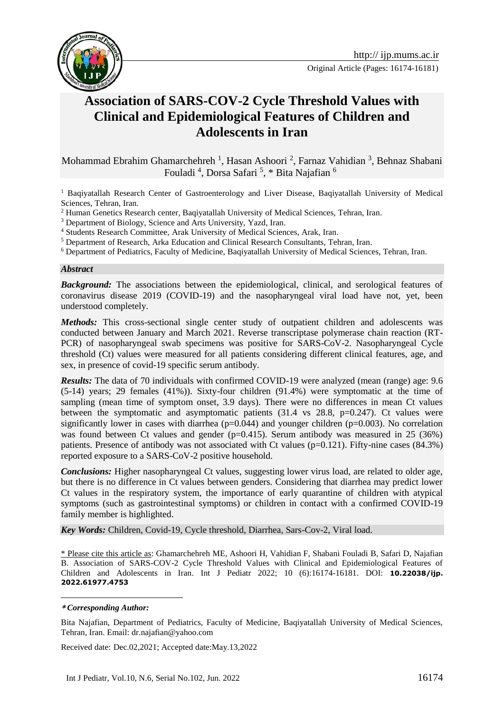



# **Association of SARS-COV-2 Cycle Threshold Values with Clinical and Epidemiological Features of Children and Adolescents in Iran**

Mohammad Ebrahim Ghamarchehreh<sup>1</sup>, Hasan Ashoori<sup>2</sup>, Farnaz Vahidian<sup>3</sup>, Behnaz Shabani Fouladi<sup>4</sup>, Dorsa Safari<sup>5</sup>, \* Bita Najafian<sup>6</sup>

<sup>1</sup> Baqiyatallah Research Center of Gastroenterology and Liver Disease, Baqiyatallah University of Medical Sciences, Tehran, Iran.

<sup>2</sup> Human Genetics Research center, Baqiyatallah University of Medical Sciences, Tehran, Iran.

<sup>3</sup> Department of Biology, Science and Arts University, Yazd, Iran.

<sup>4</sup> Students Research Committee, Arak University of Medical Sciences, Arak, Iran.

<sup>5</sup> Department of Research, Arka Education and Clinical Research Consultants, Tehran, Iran.

<sup>6</sup> Department of Pediatrics, Faculty of Medicine, Baqiyatallah University of Medical Sciences, Tehran, Iran.

#### *Abstract*

*Background:* The associations between the epidemiological, clinical, and serological features of coronavirus disease 2019 (COVID-19) and the nasopharyngeal viral load have not, yet, been understood completely.

*Methods:* This cross-sectional single center study of outpatient children and adolescents was conducted between January and March 2021. Reverse transcriptase polymerase chain reaction (RT-PCR) of nasopharyngeal swab specimens was positive for SARS-CoV-2. Nasopharyngeal Cycle threshold (Ct) values were measured for all patients considering different clinical features, age, and sex, in presence of covid-19 specific serum antibody.

*Results:* The data of 70 individuals with confirmed COVID-19 were analyzed (mean (range) age: 9.6 (5-14) years; 29 females (41%)). Sixty-four children (91.4%) were symptomatic at the time of sampling (mean time of symptom onset, 3.9 days). There were no differences in mean Ct values between the symptomatic and asymptomatic patients  $(31.4 \text{ vs } 28.8, \text{ p=0.247})$ . Ct values were significantly lower in cases with diarrhea ( $p=0.044$ ) and younger children ( $p=0.003$ ). No correlation was found between Ct values and gender ( $p=0.415$ ). Serum antibody was measured in 25 (36%) patients. Presence of antibody was not associated with Ct values (p=0.121). Fifty-nine cases (84.3%) reported exposure to a SARS-CoV-2 positive household.

*Conclusions:* Higher nasopharyngeal Ct values, suggesting lower virus load, are related to older age, but there is no difference in Ct values between genders. Considering that diarrhea may predict lower Ct values in the respiratory system, the importance of early quarantine of children with atypical symptoms (such as gastrointestinal symptoms) or children in contact with a confirmed COVID-19 family member is highlighted.

*Key Words:* Children, Covid-19, Cycle threshold, Diarrhea, Sars-Cov-2, Viral load.

\* Please cite this article as: Ghamarchehreh ME, Ashoori H, Vahidian F, Shabani Fouladi B, Safari D, Najafian B. Association of SARS-COV-2 Cycle Threshold Values with Clinical and Epidemiological Features of Children and Adolescents in Iran. Int J Pediatr 2022; 10 (6):16174-16181. DOI: **10.22038/ijp. 2022.61977.4753**

#### **\*** *Corresponding Author:*

1

Bita Najafian, Department of Pediatrics, Faculty of Medicine, Baqiyatallah University of Medical Sciences, Tehran, Iran. Email: dr.najafian@yahoo.com

Received date: Dec.02,2021; Accepted date:May.13,2022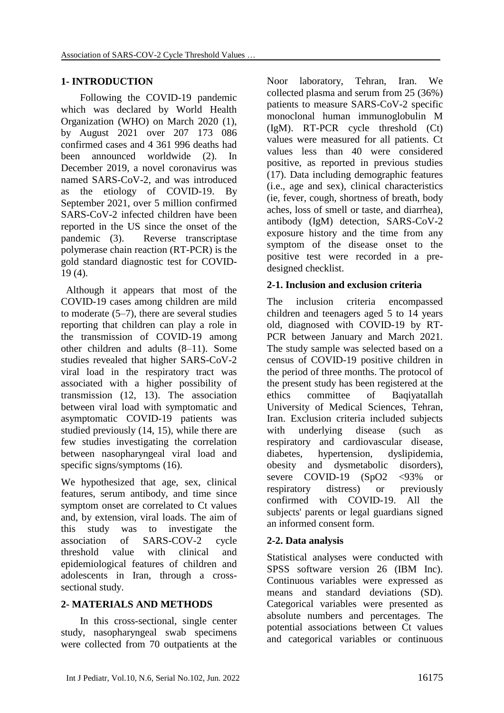# **1- INTRODUCTION**

Following the COVID-19 pandemic which was declared by World Health Organization (WHO) on March 2020 (1), by August 2021 over 207 173 086 confirmed cases and 4 361 996 deaths had been announced worldwide (2). In December 2019, a novel coronavirus was named SARS-CoV-2, and was introduced as the etiology of COVID-19. By September 2021, over 5 million confirmed SARS-CoV-2 infected children have been reported in the US since the onset of the pandemic (3). Reverse transcriptase polymerase chain reaction (RT-PCR) is the gold standard diagnostic test for COVID-19 (4).

 Although it appears that most of the COVID-19 cases among children are mild to moderate (5–7), there are several studies reporting that children can play a role in the transmission of COVID-19 among other children and adults (8–11). Some studies revealed that higher SARS-CoV-2 viral load in the respiratory tract was associated with a higher possibility of transmission (12, 13). The association between viral load with symptomatic and asymptomatic COVID-19 patients was studied previously (14, 15), while there are few studies investigating the correlation between nasopharyngeal viral load and specific signs/symptoms (16).

We hypothesized that age, sex, clinical features, serum antibody, and time since symptom onset are correlated to Ct values and, by extension, viral loads. The aim of this study was to investigate the association of SARS-COV-2 cycle threshold value with clinical and epidemiological features of children and adolescents in Iran, through a crosssectional study.

# **2- MATERIALS AND METHODS**

In this cross-sectional, single center study, nasopharyngeal swab specimens were collected from 70 outpatients at the Noor laboratory, Tehran, Iran. We collected plasma and serum from 25 (36%) patients to measure SARS-CoV-2 specific monoclonal human immunoglobulin M (IgM). RT-PCR cycle threshold (Ct) values were measured for all patients. Ct values less than 40 were considered positive, as reported in previous studies (17). Data including demographic features (i.e., age and sex), clinical characteristics (ie, fever, cough, shortness of breath, body aches, loss of smell or taste, and diarrhea), antibody (IgM) detection, SARS-CoV-2 exposure history and the time from any symptom of the disease onset to the positive test were recorded in a predesigned checklist.

# **2-1. Inclusion and exclusion criteria**

The inclusion criteria encompassed children and teenagers aged 5 to 14 years old, diagnosed with COVID-19 by RT-PCR between January and March 2021. The study sample was selected based on a census of COVID-19 positive children in the period of three months. The protocol of the present study has been registered at the ethics committee of Baqiyatallah University of Medical Sciences, Tehran, Iran. Exclusion criteria included subjects with underlying disease (such as respiratory and cardiovascular disease, diabetes, hypertension, dyslipidemia, obesity and dysmetabolic disorders), severe COVID-19 (SpO2 <93% or respiratory distress) or previously confirmed with COVID-19. All the subjects' parents or legal guardians signed an informed consent form.

# **2-2. Data analysis**

Statistical analyses were conducted with SPSS software version 26 (IBM Inc). Continuous variables were expressed as means and standard deviations (SD). Categorical variables were presented as absolute numbers and percentages. The potential associations between Ct values and categorical variables or continuous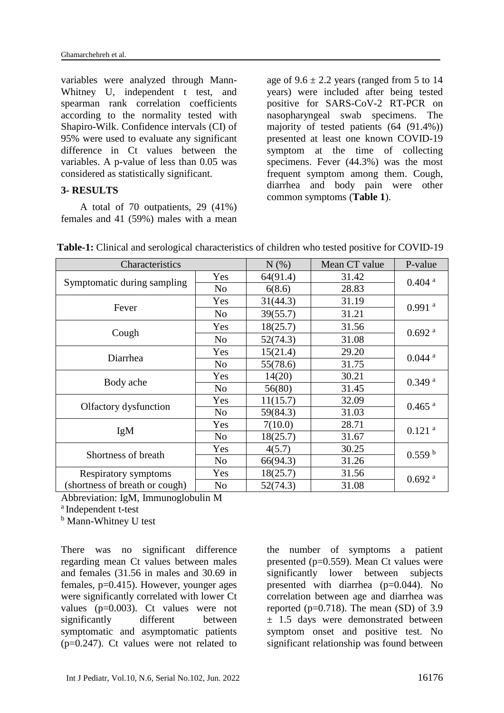variables were analyzed through Mann-Whitney U, independent t test, and spearman rank correlation coefficients according to the normality tested with Shapiro-Wilk. Confidence intervals (CI) of 95% were used to evaluate any significant difference in Ct values between the variables. A p-value of less than 0.05 was considered as statistically significant.

#### **3- RESULTS**

A total of 70 outpatients, 29 (41%) females and 41 (59%) males with a mean

age of  $9.6 \pm 2.2$  years (ranged from 5 to 14 years) were included after being tested positive for SARS-CoV-2 RT-PCR on nasopharyngeal swab specimens. The majority of tested patients (64 (91.4%)) presented at least one known COVID-19 symptom at the time of collecting specimens. Fever (44.3%) was the most frequent symptom among them. Cough, diarrhea and body pain were other common symptoms (**Table 1**).

| Characteristics                |                | $N(\%)$  | Mean CT value | P-value              |
|--------------------------------|----------------|----------|---------------|----------------------|
| Symptomatic during sampling    | Yes            | 64(91.4) | 31.42         | $0.404$ <sup>a</sup> |
|                                | N <sub>o</sub> | 6(8.6)   | 28.83         |                      |
| Fever                          | Yes            | 31(44.3) | 31.19         | $0.991$ <sup>a</sup> |
|                                | N <sub>o</sub> | 39(55.7) | 31.21         |                      |
| Cough                          | Yes            | 18(25.7) | 31.56         | $0.692$ <sup>a</sup> |
|                                | N <sub>o</sub> | 52(74.3) | 31.08         |                      |
| Diarrhea                       | Yes            | 15(21.4) | 29.20         | $0.044$ <sup>a</sup> |
|                                | N <sub>o</sub> | 55(78.6) | 31.75         |                      |
| Body ache                      | Yes            | 14(20)   | 30.21         | 0.349a               |
|                                | N <sub>o</sub> | 56(80)   | 31.45         |                      |
| Olfactory dysfunction          | Yes            | 11(15.7) | 32.09         | $0.465$ <sup>a</sup> |
|                                | N <sub>o</sub> | 59(84.3) | 31.03         |                      |
| IgM                            | Yes            | 7(10.0)  | 28.71         | $0.121$ <sup>a</sup> |
|                                | N <sub>o</sub> | 18(25.7) | 31.67         |                      |
| Shortness of breath            | Yes            | 4(5.7)   | 30.25         | 0.559 <sup>b</sup>   |
|                                | N <sub>o</sub> | 66(94.3) | 31.26         |                      |
| Respiratory symptoms           | Yes            | 18(25.7) | 31.56         | $0.692$ <sup>a</sup> |
| (shortness of breath or cough) | N <sub>o</sub> | 52(74.3) | 31.08         |                      |

**Table-1:** Clinical and serological characteristics of children who tested positive for COVID-19

Abbreviation: IgM, Immunoglobulin M

<sup>a</sup> Independent t-test

<sup>b</sup> Mann-Whitney U test

There was no significant difference regarding mean Ct values between males and females (31.56 in males and 30.69 in females, p=0.415). However, younger ages were significantly correlated with lower Ct values (p=0.003). Ct values were not significantly different between symptomatic and asymptomatic patients (p=0.247). Ct values were not related to the number of symptoms a patient presented (p=0.559). Mean Ct values were significantly lower between subjects presented with diarrhea (p=0.044). No correlation between age and diarrhea was reported ( $p=0.718$ ). The mean (SD) of 3.9  $\pm$  1.5 days were demonstrated between symptom onset and positive test. No significant relationship was found between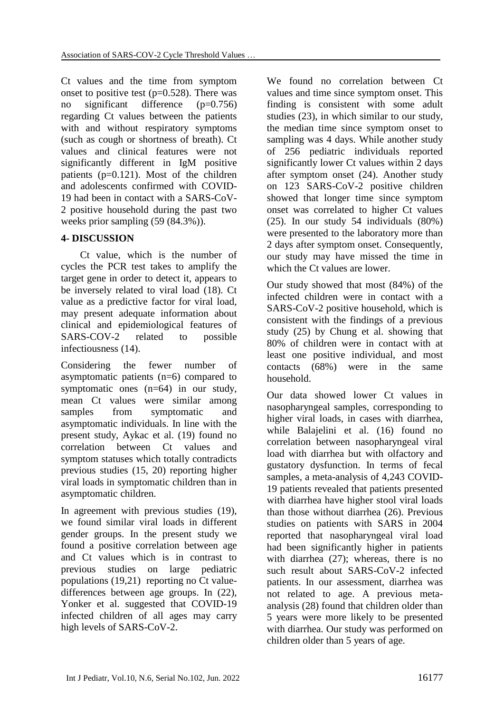Ct values and the time from symptom onset to positive test  $(p=0.528)$ . There was no significant difference (p=0.756) regarding Ct values between the patients with and without respiratory symptoms (such as cough or shortness of breath). Ct values and clinical features were not significantly different in IgM positive patients (p=0.121). Most of the children and adolescents confirmed with COVID-19 had been in contact with a SARS-CoV-2 positive household during the past two weeks prior sampling (59 (84.3%)).

## **4- DISCUSSION**

Ct value, which is the number of cycles the PCR test takes to amplify the target gene in order to detect it, appears to be inversely related to viral load (18). Ct value as a predictive factor for viral load, may present adequate information about clinical and epidemiological features of SARS-COV-2 related to possible infectiousness (14).

Considering the fewer number of asymptomatic patients (n=6) compared to symptomatic ones (n=64) in our study, mean Ct values were similar among samples from symptomatic and asymptomatic individuals. In line with the present study, Aykac et al. (19) found no correlation between Ct values and symptom statuses which totally contradicts previous studies (15, 20) reporting higher viral loads in symptomatic children than in asymptomatic children.

In agreement with previous studies (19), we found similar viral loads in different gender groups. In the present study we found a positive correlation between age and Ct values which is in contrast to previous studies on large pediatric populations (19,21) reporting no Ct valuedifferences between age groups. In (22), Yonker et al. suggested that COVID-19 infected children of all ages may carry high levels of SARS-CoV-2.

We found no correlation between Ct values and time since symptom onset. This finding is consistent with some adult studies (23), in which similar to our study, the median time since symptom onset to sampling was 4 days. While another study of 256 pediatric individuals reported significantly lower Ct values within 2 days after symptom onset (24). Another study on 123 SARS-CoV-2 positive children showed that longer time since symptom onset was correlated to higher Ct values (25). In our study 54 individuals (80%) were presented to the laboratory more than 2 days after symptom onset. Consequently, our study may have missed the time in which the Ct values are lower.

Our study showed that most (84%) of the infected children were in contact with a SARS-CoV-2 positive household, which is consistent with the findings of a previous study (25) by Chung et al. showing that 80% of children were in contact with at least one positive individual, and most contacts (68%) were in the same household.

Our data showed lower Ct values in nasopharyngeal samples, corresponding to higher viral loads, in cases with diarrhea, while Balajelini et al. (16) found no correlation between nasopharyngeal viral load with diarrhea but with olfactory and gustatory dysfunction. In terms of fecal samples, a meta-analysis of 4,243 COVID-19 patients revealed that patients presented with diarrhea have higher stool viral loads than those without diarrhea (26). Previous studies on patients with SARS in 2004 reported that nasopharyngeal viral load had been significantly higher in patients with diarrhea (27); whereas, there is no such result about SARS-CoV-2 infected patients. In our assessment, diarrhea was not related to age. A previous metaanalysis (28) found that children older than 5 years were more likely to be presented with diarrhea. Our study was performed on children older than 5 years of age.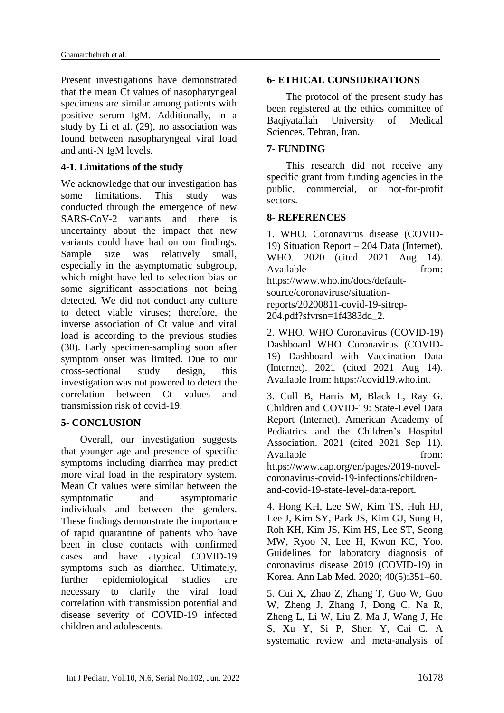Present investigations have demonstrated that the mean Ct values of nasopharyngeal specimens are similar among patients with positive serum IgM. Additionally, in a study by Li et al. (29), no association was found between nasopharyngeal viral load and anti-N IgM levels.

### **4-1. Limitations of the study**

We acknowledge that our investigation has some limitations. This study was conducted through the emergence of new SARS-CoV-2 variants and there is uncertainty about the impact that new variants could have had on our findings. Sample size was relatively small, especially in the asymptomatic subgroup, which might have led to selection bias or some significant associations not being detected. We did not conduct any culture to detect viable viruses; therefore, the inverse association of Ct value and viral load is according to the previous studies (30). Early specimen-sampling soon after symptom onset was limited. Due to our cross-sectional study design, this investigation was not powered to detect the correlation between Ct values and transmission risk of covid-19.

### **5- CONCLUSION**

Overall, our investigation suggests that younger age and presence of specific symptoms including diarrhea may predict more viral load in the respiratory system. Mean Ct values were similar between the symptomatic and asymptomatic individuals and between the genders. These findings demonstrate the importance of rapid quarantine of patients who have been in close contacts with confirmed cases and have atypical COVID-19 symptoms such as diarrhea. Ultimately, further epidemiological studies are necessary to clarify the viral load correlation with transmission potential and disease severity of COVID-19 infected children and adolescents.

### **6- ETHICAL CONSIDERATIONS**

The protocol of the present study has been registered at the ethics committee of Baqiyatallah University of Medical Sciences, Tehran, Iran.

### **7- FUNDING**

This research did not receive any specific grant from funding agencies in the public, commercial, or not-for-profit sectors.

### **8- REFERENCES**

1. WHO. Coronavirus disease (COVID-19) Situation Report – 204 Data (Internet). WHO. 2020 (cited 2021 Aug 14). Available from: https://www.who.int/docs/defaultsource/coronaviruse/situationreports/20200811-covid-19-sitrep-204.pdf?sfvrsn=1f4383dd\_2.

2. WHO. WHO Coronavirus (COVID-19) Dashboard WHO Coronavirus (COVID-19) Dashboard with Vaccination Data (Internet). 2021 (cited 2021 Aug 14). Available from: https://covid19.who.int.

3. Cull B, Harris M, Black L, Ray G. Children and COVID-19: State-Level Data Report (Internet). American Academy of Pediatrics and the Children's Hospital Association. 2021 (cited 2021 Sep 11). Available from from  $\mathbf{f}$ https://www.aap.org/en/pages/2019-novelcoronavirus-covid-19-infections/childrenand-covid-19-state-level-data-report.

4. Hong KH, Lee SW, Kim TS, Huh HJ, Lee J, Kim SY, Park JS, Kim GJ, Sung H, Roh KH, Kim JS, Kim HS, Lee ST, Seong MW, Ryoo N, Lee H, Kwon KC, Yoo. Guidelines for laboratory diagnosis of coronavirus disease 2019 (COVID-19) in Korea. Ann Lab Med. 2020; 40(5):351–60.

5. Cui X, Zhao Z, Zhang T, Guo W, Guo W, Zheng J, Zhang J, Dong C, Na R, Zheng L, Li W, Liu Z, Ma J, Wang J, He S, Xu Y, Si P, Shen Y, Cai C. A systematic review and meta‐analysis of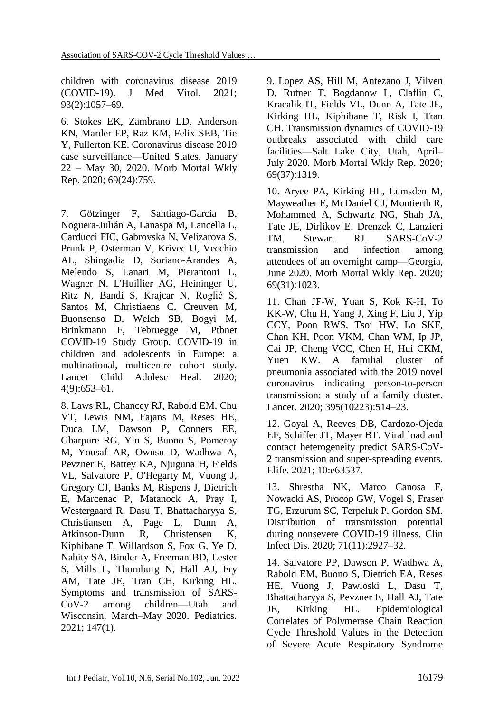children with coronavirus disease 2019 (COVID‐19). J Med Virol. 2021; 93(2):1057–69.

6. Stokes EK, Zambrano LD, Anderson KN, Marder EP, Raz KM, Felix SEB, Tie Y, Fullerton KE. Coronavirus disease 2019 case surveillance—United States, January 22 – May 30, 2020. Morb Mortal Wkly Rep. 2020; 69(24):759.

7. Götzinger F, Santiago-García B, Noguera-Julián A, Lanaspa M, Lancella L, Carducci FIC, Gabrovska N, Velizarova S, Prunk P, Osterman V, Krivec U, Vecchio AL, Shingadia D, Soriano-Arandes A, Melendo S, Lanari M, Pierantoni L, Wagner N, L'Huillier AG, Heininger U, Ritz N, Bandi S, Krajcar N, Roglić S, Santos M, Christiaens C, Creuven M, Buonsenso D, Welch SB, Bogyi M, Brinkmann F, Tebruegge M, Ptbnet COVID-19 Study Group. COVID-19 in children and adolescents in Europe: a multinational, multicentre cohort study. Lancet Child Adolesc Heal. 2020; 4(9):653–61.

8. Laws RL, Chancey RJ, Rabold EM, Chu VT, Lewis NM, Fajans M, Reses HE, Duca LM, Dawson P, Conners EE, Gharpure RG, Yin S, Buono S, Pomeroy M, Yousaf AR, Owusu D, Wadhwa A, Pevzner E, Battey KA, Njuguna H, Fields VL, Salvatore P, O'Hegarty M, Vuong J, Gregory CJ, Banks M, Rispens J, Dietrich E, Marcenac P, Matanock A, Pray I, Westergaard R, Dasu T, Bhattacharyya S, Christiansen A, Page L, Dunn A, Atkinson-Dunn R, Christensen K, Kiphibane T, Willardson S, Fox G, Ye D, Nabity SA, Binder A, Freeman BD, Lester S, Mills L, Thornburg N, Hall AJ, Fry AM, Tate JE, Tran CH, Kirking HL. Symptoms and transmission of SARS-CoV-2 among children—Utah and Wisconsin, March–May 2020. Pediatrics. 2021; 147(1).

9. Lopez AS, Hill M, Antezano J, Vilven D, Rutner T, Bogdanow L, Claflin C, Kracalik IT, Fields VL, Dunn A, Tate JE, Kirking HL, Kiphibane T, Risk I, Tran CH. Transmission dynamics of COVID-19 outbreaks associated with child care facilities—Salt Lake City, Utah, April– July 2020. Morb Mortal Wkly Rep. 2020; 69(37):1319.

10. Aryee PA, Kirking HL, Lumsden M, Mayweather E, McDaniel CJ, Montierth R, Mohammed A, Schwartz NG, Shah JA, Tate JE, Dirlikov E, Drenzek C, Lanzieri TM, Stewart RJ. SARS-CoV-2 transmission and infection among attendees of an overnight camp—Georgia, June 2020. Morb Mortal Wkly Rep. 2020; 69(31):1023.

11. Chan JF-W, Yuan S, Kok K-H, To KK-W, Chu H, Yang J, Xing F, Liu J, Yip CCY, Poon RWS, Tsoi HW, Lo SKF, Chan KH, Poon VKM, Chan WM, Ip JP, Cai JP, Cheng VCC, Chen H, Hui CKM, Yuen KW. A familial cluster of pneumonia associated with the 2019 novel coronavirus indicating person-to-person transmission: a study of a family cluster. Lancet. 2020; 395(10223):514–23.

12. Goyal A, Reeves DB, Cardozo-Ojeda EF, Schiffer JT, Mayer BT. Viral load and contact heterogeneity predict SARS-CoV-2 transmission and super-spreading events. Elife. 2021; 10:e63537.

13. Shrestha NK, Marco Canosa F, Nowacki AS, Procop GW, Vogel S, Fraser TG, Erzurum SC, Terpeluk P, Gordon SM. Distribution of transmission potential during nonsevere COVID-19 illness. Clin Infect Dis. 2020; 71(11):2927–32.

14. Salvatore PP, Dawson P, Wadhwa A, Rabold EM, Buono S, Dietrich EA, Reses HE, Vuong J, Pawloski L, Dasu T, Bhattacharyya S, Pevzner E, Hall AJ, Tate JE, Kirking HL. Epidemiological Correlates of Polymerase Chain Reaction Cycle Threshold Values in the Detection of Severe Acute Respiratory Syndrome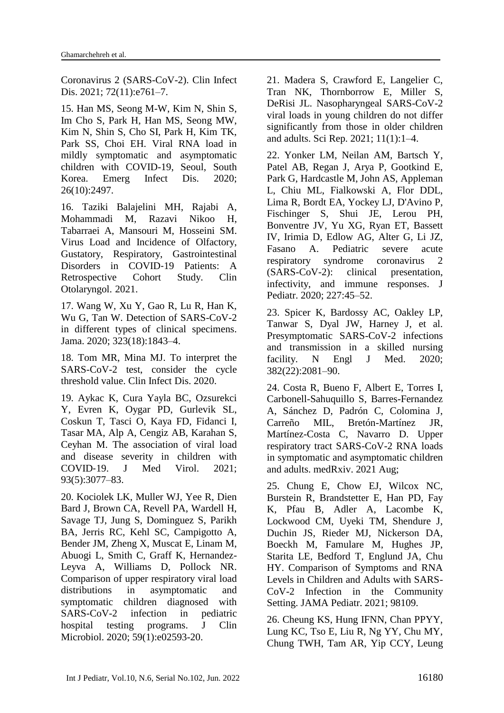Coronavirus 2 (SARS-CoV-2). Clin Infect Dis. 2021; 72(11):e761-7.

15. Han MS, Seong M-W, Kim N, Shin S, Im Cho S, Park H, Han MS, Seong MW, Kim N, Shin S, Cho SI, Park H, Kim TK, Park SS, Choi EH. Viral RNA load in mildly symptomatic and asymptomatic children with COVID-19, Seoul, South Korea. Emerg Infect Dis. 2020; 26(10):2497.

16. Taziki Balajelini MH, Rajabi A, Mohammadi M, Razavi Nikoo H, Tabarraei A, Mansouri M, [Hosseini](https://pubmed.ncbi.nlm.nih.gov/?term=Hosseini+SM&cauthor_id=34358409) SM. Virus Load and Incidence of Olfactory, Gustatory, Respiratory, Gastrointestinal Disorders in COVID-19 Patients: A Retrospective Cohort Study. Clin Otolaryngol. 2021.

17. Wang W, Xu Y, Gao R, Lu R, Han K, Wu G, Tan W. Detection of SARS-CoV-2 in different types of clinical specimens. Jama. 2020; 323(18):1843–4.

18. Tom MR, Mina MJ. To interpret the SARS-CoV-2 test, consider the cycle threshold value. Clin Infect Dis. 2020.

19. Aykac K, Cura Yayla BC, Ozsurekci Y, Evren K, Oygar PD, Gurlevik SL, Coskun T, Tasci O, Kaya FD, Fidanci I, Tasar MA, Alp A, Cengiz AB, Karahan S, Ceyhan M. The association of viral load and disease severity in children with COVID‐19. J Med Virol. 2021; 93(5):3077–83.

20. Kociolek LK, Muller WJ, Yee R, Dien Bard J, Brown CA, Revell PA, Wardell H, Savage TJ, Jung S, Dominguez S, Parikh BA, Jerris RC, Kehl SC, Campigotto A, Bender JM, Zheng X, Muscat E, Linam M, Abuogi L, Smith C, Graff K, Hernandez-Leyva A, Williams D, Pollock NR. Comparison of upper respiratory viral load distributions in asymptomatic and symptomatic children diagnosed with SARS-CoV-2 infection in pediatric hospital testing programs. J Clin Microbiol. 2020; 59(1):e02593-20.

21. Madera S, Crawford E, Langelier C, Tran NK, Thornborrow E, Miller S, [DeRisi](https://pubmed.ncbi.nlm.nih.gov/?term=DeRisi+JL&cauthor_id=33542262) JL. Nasopharyngeal SARS-CoV-2 viral loads in young children do not differ significantly from those in older children and adults. Sci Rep. 2021; 11(1):1–4.

22. Yonker LM, Neilan AM, Bartsch Y, Patel AB, Regan J, Arya P, Gootkind E, Park G, Hardcastle M, John AS, Appleman L, Chiu ML, Fialkowski A, Flor DDL, Lima R, Bordt EA, Yockey LJ, D'Avino P, Fischinger S, Shui JE, Lerou PH, Bonventre JV, Yu XG, Ryan ET, Bassett IV, Irimia D, Edlow AG, Alter G, Li JZ, Fasano A. Pediatric severe acute respiratory syndrome coronavirus 2 (SARS-CoV-2): clinical presentation, infectivity, and immune responses. J Pediatr. 2020; 227:45–52.

23. Spicer K, Bardossy AC, Oakley LP, Tanwar S, Dyal JW, Harney J, et al. Presymptomatic SARS-CoV-2 infections and transmission in a skilled nursing facility. N Engl J Med. 2020; 382(22):2081–90.

24. Costa R, Bueno F, Albert E, Torres I, Carbonell-Sahuquillo S, Barres-Fernandez A, Sánchez D, Padrón C, Colomina J, Carreño MIL, Bretón-Martínez JR, Martínez-Costa C, Navarro D. Upper respiratory tract SARS-CoV-2 RNA loads in symptomatic and asymptomatic children and adults. medRxiv. 2021 Aug;

25. Chung E, Chow EJ, Wilcox NC, Burstein R, Brandstetter E, Han PD, Fay K, Pfau B, Adler A, Lacombe K, Lockwood CM, Uyeki TM, Shendure J, Duchin JS, Rieder MJ, Nickerson DA, Boeckh M, Famulare M, Hughes JP, Starita LE, Bedford T, Englund JA, Chu HY. Comparison of Symptoms and RNA Levels in Children and Adults with SARS-CoV-2 Infection in the Community Setting. JAMA Pediatr. 2021; 98109.

26. Cheung KS, Hung IFNN, Chan PPYY, Lung KC, Tso E, Liu R, Ng YY, Chu MY, Chung TWH, Tam AR, Yip CCY, Leung